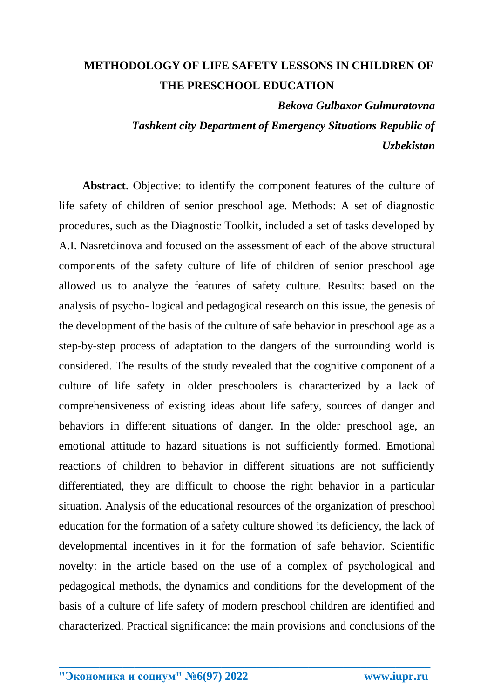## **METHODOLOGY OF LIFE SAFETY LESSONS IN CHILDREN OF THE PRESCHOOL EDUCATION**

*Bekova Gulbaxor Gulmuratovna*

*Tashkent city Department of Emergency Situations Republic of Uzbekistan*

**Abstract**. Objective: to identify the component features of the culture of life safety of children of senior preschool age. Methods: A set of diagnostic procedures, such as the Diagnostic Toolkit, included a set of tasks developed by A.I. Nasretdinova and focused on the assessment of each of the above structural components of the safety culture of life of children of senior preschool age allowed us to analyze the features of safety culture. Results: based on the analysis of psycho- logical and pedagogical research on this issue, the genesis of the development of the basis of the culture of safe behavior in preschool age as a step-by-step process of adaptation to the dangers of the surrounding world is considered. The results of the study revealed that the cognitive component of a culture of life safety in older preschoolers is characterized by a lack of comprehensiveness of existing ideas about life safety, sources of danger and behaviors in different situations of danger. In the older preschool age, an emotional attitude to hazard situations is not sufficiently formed. Emotional reactions of children to behavior in different situations are not sufficiently differentiated, they are difficult to choose the right behavior in a particular situation. Analysis of the educational resources of the organization of preschool education for the formation of a safety culture showed its deficiency, the lack of developmental incentives in it for the formation of safe behavior. Scientific novelty: in the article based on the use of a complex of psychological and pedagogical methods, the dynamics and conditions for the development of the basis of a culture of life safety of modern preschool children are identified and characterized. Practical significance: the main provisions and conclusions of the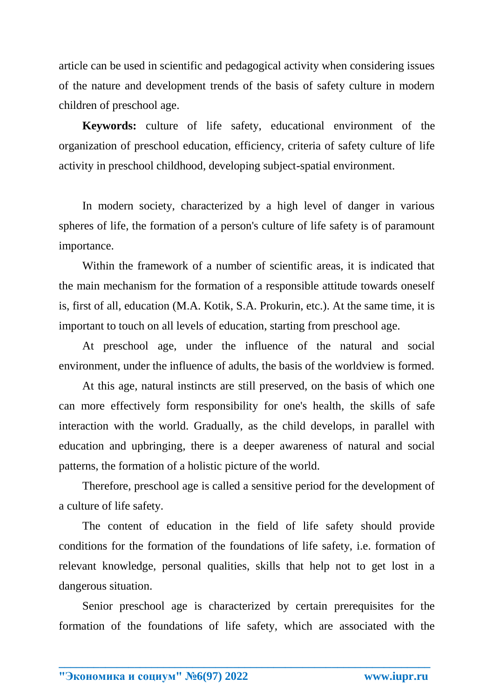article can be used in scientific and pedagogical activity when considering issues of the nature and development trends of the basis of safety culture in modern children of preschool age.

**Keywords:** culture of life safety, educational environment of the organization of preschool education, efficiency, criteria of safety culture of life activity in preschool childhood, developing subject-spatial environment.

In modern society, characterized by a high level of danger in various spheres of life, the formation of a person's culture of life safety is of paramount importance.

Within the framework of a number of scientific areas, it is indicated that the main mechanism for the formation of a responsible attitude towards oneself is, first of all, education (M.A. Kotik, S.A. Prokurin, etc.). At the same time, it is important to touch on all levels of education, starting from preschool age.

At preschool age, under the influence of the natural and social environment, under the influence of adults, the basis of the worldview is formed.

At this age, natural instincts are still preserved, on the basis of which one can more effectively form responsibility for one's health, the skills of safe interaction with the world. Gradually, as the child develops, in parallel with education and upbringing, there is a deeper awareness of natural and social patterns, the formation of a holistic picture of the world.

Therefore, preschool age is called a sensitive period for the development of a culture of life safety.

The content of education in the field of life safety should provide conditions for the formation of the foundations of life safety, i.e. formation of relevant knowledge, personal qualities, skills that help not to get lost in a dangerous situation.

Senior preschool age is characterized by certain prerequisites for the formation of the foundations of life safety, which are associated with the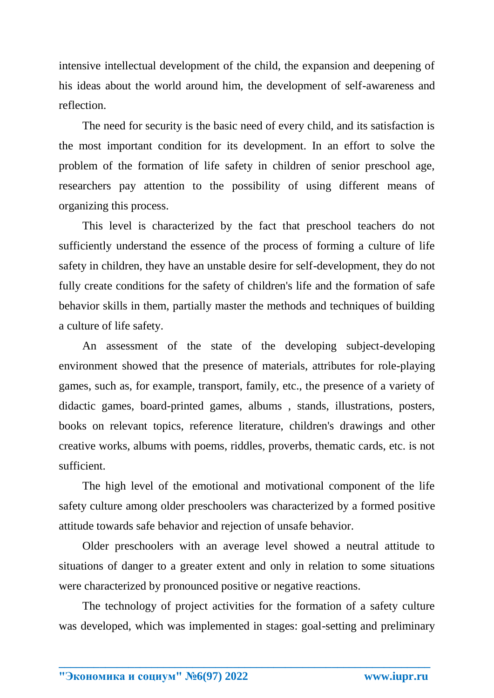intensive intellectual development of the child, the expansion and deepening of his ideas about the world around him, the development of self-awareness and reflection.

The need for security is the basic need of every child, and its satisfaction is the most important condition for its development. In an effort to solve the problem of the formation of life safety in children of senior preschool age, researchers pay attention to the possibility of using different means of organizing this process.

This level is characterized by the fact that preschool teachers do not sufficiently understand the essence of the process of forming a culture of life safety in children, they have an unstable desire for self-development, they do not fully create conditions for the safety of children's life and the formation of safe behavior skills in them, partially master the methods and techniques of building a culture of life safety.

An assessment of the state of the developing subject-developing environment showed that the presence of materials, attributes for role-playing games, such as, for example, transport, family, etc., the presence of a variety of didactic games, board-printed games, albums , stands, illustrations, posters, books on relevant topics, reference literature, children's drawings and other creative works, albums with poems, riddles, proverbs, thematic cards, etc. is not sufficient.

The high level of the emotional and motivational component of the life safety culture among older preschoolers was characterized by a formed positive attitude towards safe behavior and rejection of unsafe behavior.

Older preschoolers with an average level showed a neutral attitude to situations of danger to a greater extent and only in relation to some situations were characterized by pronounced positive or negative reactions.

The technology of project activities for the formation of a safety culture was developed, which was implemented in stages: goal-setting and preliminary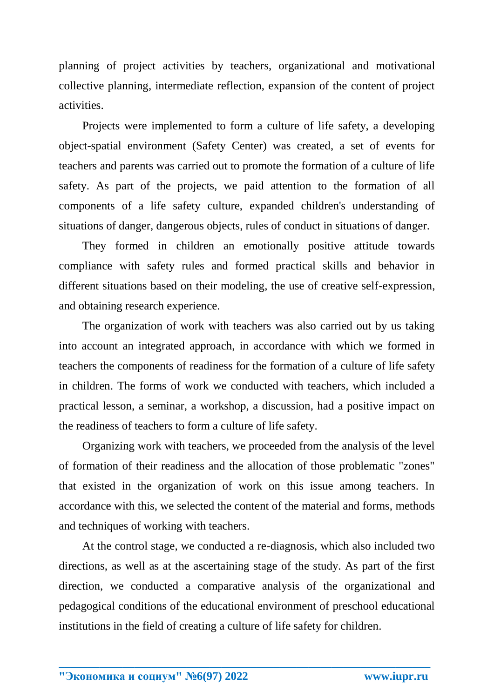planning of project activities by teachers, organizational and motivational collective planning, intermediate reflection, expansion of the content of project activities.

Projects were implemented to form a culture of life safety, a developing object-spatial environment (Safety Center) was created, a set of events for teachers and parents was carried out to promote the formation of a culture of life safety. As part of the projects, we paid attention to the formation of all components of a life safety culture, expanded children's understanding of situations of danger, dangerous objects, rules of conduct in situations of danger.

They formed in children an emotionally positive attitude towards compliance with safety rules and formed practical skills and behavior in different situations based on their modeling, the use of creative self-expression, and obtaining research experience.

The organization of work with teachers was also carried out by us taking into account an integrated approach, in accordance with which we formed in teachers the components of readiness for the formation of a culture of life safety in children. The forms of work we conducted with teachers, which included a practical lesson, a seminar, a workshop, a discussion, had a positive impact on the readiness of teachers to form a culture of life safety.

Organizing work with teachers, we proceeded from the analysis of the level of formation of their readiness and the allocation of those problematic "zones" that existed in the organization of work on this issue among teachers. In accordance with this, we selected the content of the material and forms, methods and techniques of working with teachers.

At the control stage, we conducted a re-diagnosis, which also included two directions, as well as at the ascertaining stage of the study. As part of the first direction, we conducted a comparative analysis of the organizational and pedagogical conditions of the educational environment of preschool educational institutions in the field of creating a culture of life safety for children.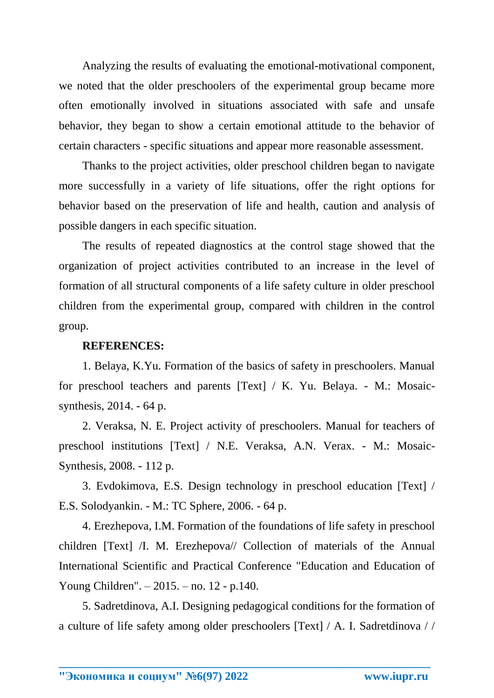Analyzing the results of evaluating the emotional-motivational component, we noted that the older preschoolers of the experimental group became more often emotionally involved in situations associated with safe and unsafe behavior, they began to show a certain emotional attitude to the behavior of certain characters - specific situations and appear more reasonable assessment.

Thanks to the project activities, older preschool children began to navigate more successfully in a variety of life situations, offer the right options for behavior based on the preservation of life and health, caution and analysis of possible dangers in each specific situation.

The results of repeated diagnostics at the control stage showed that the organization of project activities contributed to an increase in the level of formation of all structural components of a life safety culture in older preschool children from the experimental group, compared with children in the control group.

## **REFERENCES:**

1. Belaya, K.Yu. Formation of the basics of safety in preschoolers. Manual for preschool teachers and parents [Text] / K. Yu. Belaya. - M.: Mosaicsynthesis, 2014. - 64 p.

2. Veraksa, N. E. Project activity of preschoolers. Manual for teachers of preschool institutions [Text] / N.E. Veraksa, A.N. Verax. - M.: Mosaic-Synthesis, 2008. - 112 p.

3. Evdokimova, E.S. Design technology in preschool education [Text] / E.S. Solodyankin. - M.: TC Sphere, 2006. - 64 p.

4. Erezhepova, I.M. Formation of the foundations of life safety in preschool children [Text] /I. M. Erezhepova// Collection of materials of the Annual International Scientific and Practical Conference "Education and Education of Young Children". – 2015. – no. 12 - p.140.

5. Sadretdinova, A.I. Designing pedagogical conditions for the formation of a culture of life safety among older preschoolers [Text] / A. I. Sadretdinova / /